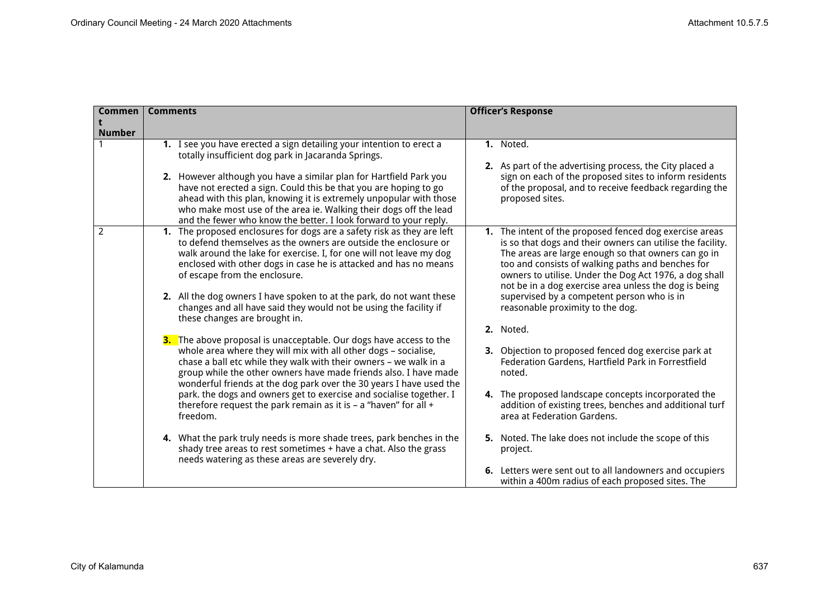| Commen        | <b>Comments</b>                                                                                                                                                                                                                                                                                                                                              | <b>Officer's Response</b>                                                                                                                                                                                                                                                                                                                            |
|---------------|--------------------------------------------------------------------------------------------------------------------------------------------------------------------------------------------------------------------------------------------------------------------------------------------------------------------------------------------------------------|------------------------------------------------------------------------------------------------------------------------------------------------------------------------------------------------------------------------------------------------------------------------------------------------------------------------------------------------------|
|               |                                                                                                                                                                                                                                                                                                                                                              |                                                                                                                                                                                                                                                                                                                                                      |
| <b>Number</b> | 1. I see you have erected a sign detailing your intention to erect a                                                                                                                                                                                                                                                                                         | 1. Noted.                                                                                                                                                                                                                                                                                                                                            |
|               | totally insufficient dog park in Jacaranda Springs.                                                                                                                                                                                                                                                                                                          | 2. As part of the advertising process, the City placed a                                                                                                                                                                                                                                                                                             |
|               | 2. However although you have a similar plan for Hartfield Park you<br>have not erected a sign. Could this be that you are hoping to go<br>ahead with this plan, knowing it is extremely unpopular with those<br>who make most use of the area ie. Walking their dogs off the lead<br>and the fewer who know the better. I look forward to your reply.        | sign on each of the proposed sites to inform residents<br>of the proposal, and to receive feedback regarding the<br>proposed sites.                                                                                                                                                                                                                  |
| 2             | 1. The proposed enclosures for dogs are a safety risk as they are left<br>to defend themselves as the owners are outside the enclosure or<br>walk around the lake for exercise. I, for one will not leave my dog<br>enclosed with other dogs in case he is attacked and has no means<br>of escape from the enclosure.                                        | 1. The intent of the proposed fenced dog exercise areas<br>is so that dogs and their owners can utilise the facility.<br>The areas are large enough so that owners can go in<br>too and consists of walking paths and benches for<br>owners to utilise. Under the Dog Act 1976, a dog shall<br>not be in a dog exercise area unless the dog is being |
|               | 2. All the dog owners I have spoken to at the park, do not want these<br>changes and all have said they would not be using the facility if<br>these changes are brought in.                                                                                                                                                                                  | supervised by a competent person who is in<br>reasonable proximity to the dog.                                                                                                                                                                                                                                                                       |
|               |                                                                                                                                                                                                                                                                                                                                                              | 2. Noted.                                                                                                                                                                                                                                                                                                                                            |
|               | <b>3.</b> The above proposal is unacceptable. Our dogs have access to the<br>whole area where they will mix with all other dogs - socialise,<br>chase a ball etc while they walk with their owners - we walk in a<br>group while the other owners have made friends also. I have made<br>wonderful friends at the dog park over the 30 years I have used the | 3. Objection to proposed fenced dog exercise park at<br>Federation Gardens, Hartfield Park in Forrestfield<br>noted.                                                                                                                                                                                                                                 |
|               | park. the dogs and owners get to exercise and socialise together. I<br>therefore request the park remain as it is - a "haven" for all +<br>freedom.                                                                                                                                                                                                          | 4. The proposed landscape concepts incorporated the<br>addition of existing trees, benches and additional turf<br>area at Federation Gardens.                                                                                                                                                                                                        |
|               | 4. What the park truly needs is more shade trees, park benches in the<br>shady tree areas to rest sometimes + have a chat. Also the grass<br>needs watering as these areas are severely dry.                                                                                                                                                                 | 5. Noted. The lake does not include the scope of this<br>project.                                                                                                                                                                                                                                                                                    |
|               |                                                                                                                                                                                                                                                                                                                                                              | 6. Letters were sent out to all landowners and occupiers<br>within a 400m radius of each proposed sites. The                                                                                                                                                                                                                                         |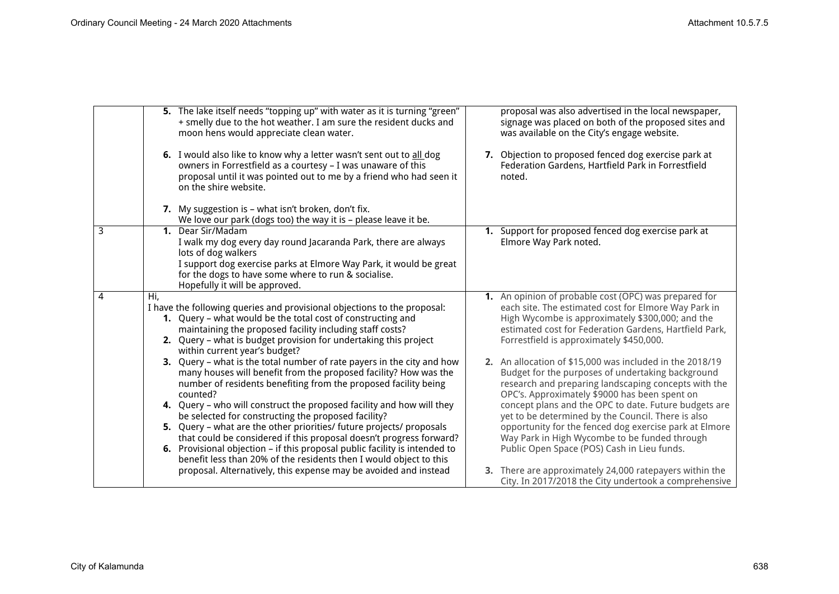|   | 5. The lake itself needs "topping up" with water as it is turning "green"<br>+ smelly due to the hot weather. I am sure the resident ducks and<br>moon hens would appreciate clean water.                                                                                                                       | proposal was also advertised in the local newspaper,<br>signage was placed on both of the proposed sites and<br>was available on the City's engage website.                                                                                                             |
|---|-----------------------------------------------------------------------------------------------------------------------------------------------------------------------------------------------------------------------------------------------------------------------------------------------------------------|-------------------------------------------------------------------------------------------------------------------------------------------------------------------------------------------------------------------------------------------------------------------------|
|   | 6. I would also like to know why a letter wasn't sent out to all dog<br>owners in Forrestfield as a courtesy - I was unaware of this<br>proposal until it was pointed out to me by a friend who had seen it<br>on the shire website.                                                                            | 7. Objection to proposed fenced dog exercise park at<br>Federation Gardens, Hartfield Park in Forrestfield<br>noted.                                                                                                                                                    |
|   | 7. My suggestion is - what isn't broken, don't fix.<br>We love our park (dogs too) the way it is - please leave it be.                                                                                                                                                                                          |                                                                                                                                                                                                                                                                         |
| 3 | 1. Dear Sir/Madam<br>I walk my dog every day round Jacaranda Park, there are always<br>lots of dog walkers<br>I support dog exercise parks at Elmore Way Park, it would be great<br>for the dogs to have some where to run & socialise.<br>Hopefully it will be approved.                                       | 1. Support for proposed fenced dog exercise park at<br>Elmore Way Park noted.                                                                                                                                                                                           |
| 4 | Hi,<br>I have the following queries and provisional objections to the proposal:<br>1. Query - what would be the total cost of constructing and<br>maintaining the proposed facility including staff costs?<br>2. Query - what is budget provision for undertaking this project<br>within current year's budget? | 1. An opinion of probable cost (OPC) was prepared for<br>each site. The estimated cost for Elmore Way Park in<br>High Wycombe is approximately \$300,000; and the<br>estimated cost for Federation Gardens, Hartfield Park,<br>Forrestfield is approximately \$450,000. |
|   | 3. Query – what is the total number of rate payers in the city and how<br>many houses will benefit from the proposed facility? How was the<br>number of residents benefiting from the proposed facility being<br>counted?                                                                                       | 2. An allocation of \$15,000 was included in the 2018/19<br>Budget for the purposes of undertaking background<br>research and preparing landscaping concepts with the<br>OPC's. Approximately \$9000 has been spent on                                                  |
|   | 4. Query - who will construct the proposed facility and how will they<br>be selected for constructing the proposed facility?                                                                                                                                                                                    | concept plans and the OPC to date. Future budgets are<br>yet to be determined by the Council. There is also                                                                                                                                                             |
|   | 5. Query - what are the other priorities/ future projects/ proposals<br>that could be considered if this proposal doesn't progress forward?                                                                                                                                                                     | opportunity for the fenced dog exercise park at Elmore<br>Way Park in High Wycombe to be funded through                                                                                                                                                                 |
|   | <b>6.</b> Provisional objection – if this proposal public facility is intended to<br>benefit less than 20% of the residents then I would object to this                                                                                                                                                         | Public Open Space (POS) Cash in Lieu funds.                                                                                                                                                                                                                             |
|   | proposal. Alternatively, this expense may be avoided and instead                                                                                                                                                                                                                                                | 3. There are approximately 24,000 ratepayers within the<br>City. In 2017/2018 the City undertook a comprehensive                                                                                                                                                        |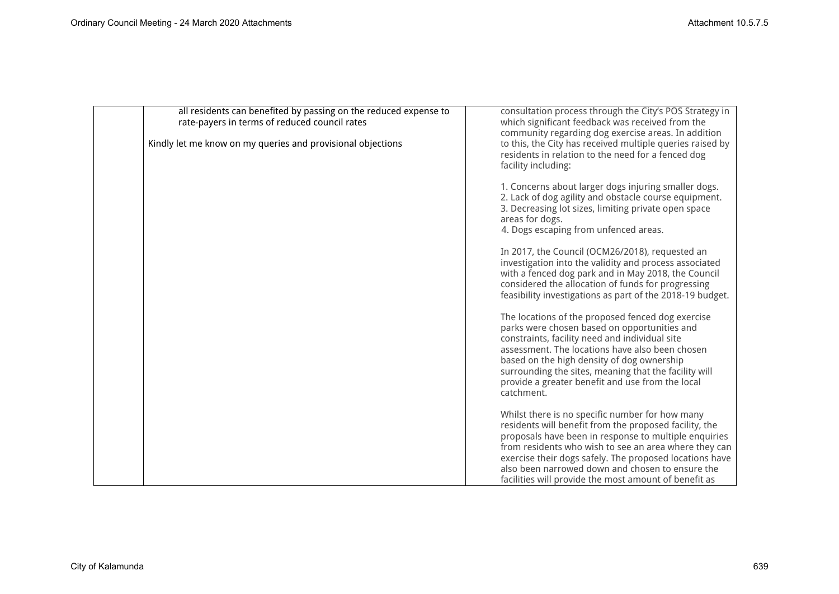| all residents can benefited by passing on the reduced expense to<br>rate-payers in terms of reduced council rates<br>Kindly let me know on my queries and provisional objections | consultation process through the City's POS Strategy in<br>which significant feedback was received from the<br>community regarding dog exercise areas. In addition<br>to this, the City has received multiple queries raised by<br>residents in relation to the need for a fenced dog<br>facility including:                                                                                        |
|----------------------------------------------------------------------------------------------------------------------------------------------------------------------------------|-----------------------------------------------------------------------------------------------------------------------------------------------------------------------------------------------------------------------------------------------------------------------------------------------------------------------------------------------------------------------------------------------------|
|                                                                                                                                                                                  | 1. Concerns about larger dogs injuring smaller dogs.<br>2. Lack of dog agility and obstacle course equipment.<br>3. Decreasing lot sizes, limiting private open space<br>areas for dogs.<br>4. Dogs escaping from unfenced areas.                                                                                                                                                                   |
|                                                                                                                                                                                  | In 2017, the Council (OCM26/2018), requested an<br>investigation into the validity and process associated<br>with a fenced dog park and in May 2018, the Council<br>considered the allocation of funds for progressing<br>feasibility investigations as part of the 2018-19 budget.                                                                                                                 |
|                                                                                                                                                                                  | The locations of the proposed fenced dog exercise<br>parks were chosen based on opportunities and<br>constraints, facility need and individual site<br>assessment. The locations have also been chosen<br>based on the high density of dog ownership<br>surrounding the sites, meaning that the facility will<br>provide a greater benefit and use from the local<br>catchment.                     |
|                                                                                                                                                                                  | Whilst there is no specific number for how many<br>residents will benefit from the proposed facility, the<br>proposals have been in response to multiple enquiries<br>from residents who wish to see an area where they can<br>exercise their dogs safely. The proposed locations have<br>also been narrowed down and chosen to ensure the<br>facilities will provide the most amount of benefit as |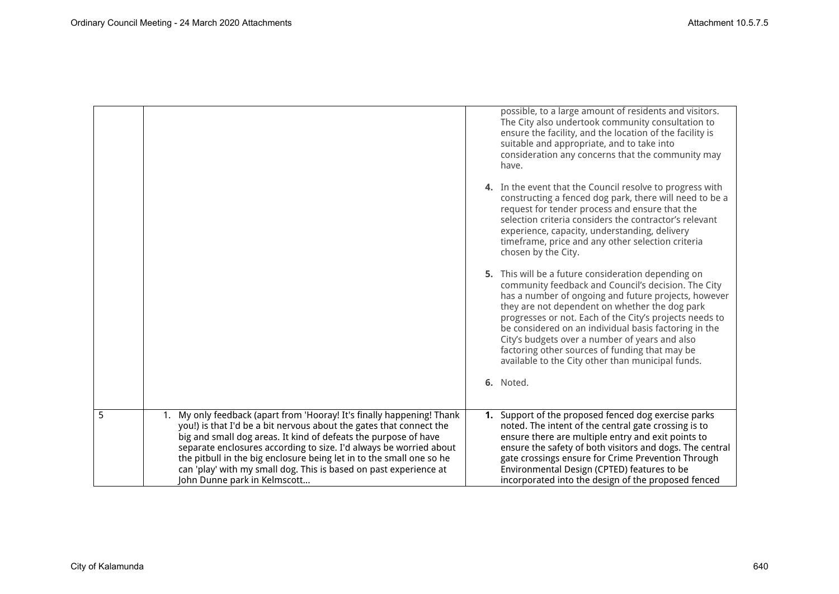|   |                                                                                                                                                                                                                                                                                                                                                                                                                                                                     | possible, to a large amount of residents and visitors.<br>The City also undertook community consultation to<br>ensure the facility, and the location of the facility is<br>suitable and appropriate, and to take into<br>consideration any concerns that the community may<br>have.                                                                                                                                                                                                               |
|---|---------------------------------------------------------------------------------------------------------------------------------------------------------------------------------------------------------------------------------------------------------------------------------------------------------------------------------------------------------------------------------------------------------------------------------------------------------------------|---------------------------------------------------------------------------------------------------------------------------------------------------------------------------------------------------------------------------------------------------------------------------------------------------------------------------------------------------------------------------------------------------------------------------------------------------------------------------------------------------|
|   |                                                                                                                                                                                                                                                                                                                                                                                                                                                                     | 4. In the event that the Council resolve to progress with<br>constructing a fenced dog park, there will need to be a<br>request for tender process and ensure that the<br>selection criteria considers the contractor's relevant<br>experience, capacity, understanding, delivery<br>timeframe, price and any other selection criteria<br>chosen by the City.                                                                                                                                     |
|   |                                                                                                                                                                                                                                                                                                                                                                                                                                                                     | 5. This will be a future consideration depending on<br>community feedback and Council's decision. The City<br>has a number of ongoing and future projects, however<br>they are not dependent on whether the dog park<br>progresses or not. Each of the City's projects needs to<br>be considered on an individual basis factoring in the<br>City's budgets over a number of years and also<br>factoring other sources of funding that may be<br>available to the City other than municipal funds. |
|   |                                                                                                                                                                                                                                                                                                                                                                                                                                                                     | 6. Noted.                                                                                                                                                                                                                                                                                                                                                                                                                                                                                         |
| 5 | 1. My only feedback (apart from 'Hooray! It's finally happening! Thank<br>you!) is that I'd be a bit nervous about the gates that connect the<br>big and small dog areas. It kind of defeats the purpose of have<br>separate enclosures according to size. I'd always be worried about<br>the pitbull in the big enclosure being let in to the small one so he<br>can 'play' with my small dog. This is based on past experience at<br>John Dunne park in Kelmscott | 1. Support of the proposed fenced dog exercise parks<br>noted. The intent of the central gate crossing is to<br>ensure there are multiple entry and exit points to<br>ensure the safety of both visitors and dogs. The central<br>gate crossings ensure for Crime Prevention Through<br>Environmental Design (CPTED) features to be<br>incorporated into the design of the proposed fenced                                                                                                        |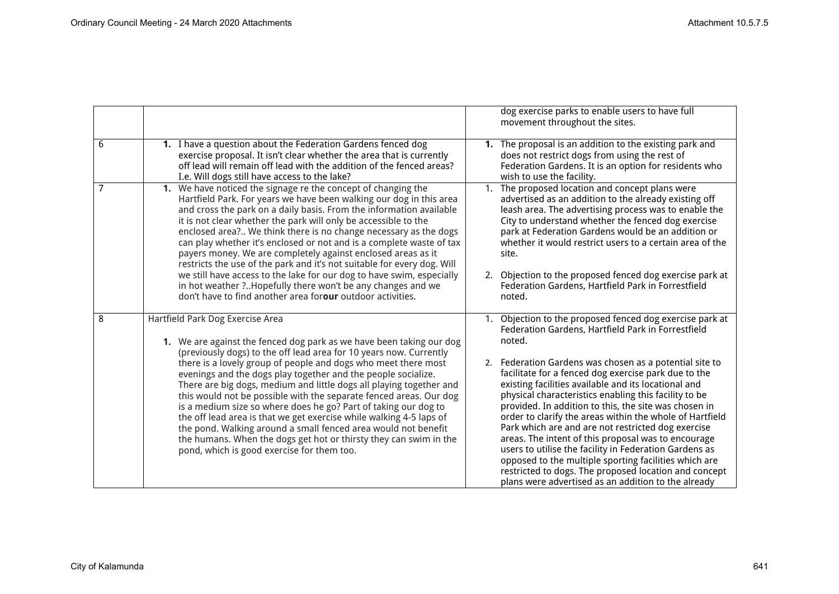|   |                                                                                                                                                                                                                                                                                                                                                                                                                                                                                                                                                                                                                                                                                                                                                                                               | dog exercise parks to enable users to have full<br>movement throughout the sites.                                                                                                                                                                                                                                                                                                                                                                                                                                                                                                                                                                                                                                                                                                                                                    |
|---|-----------------------------------------------------------------------------------------------------------------------------------------------------------------------------------------------------------------------------------------------------------------------------------------------------------------------------------------------------------------------------------------------------------------------------------------------------------------------------------------------------------------------------------------------------------------------------------------------------------------------------------------------------------------------------------------------------------------------------------------------------------------------------------------------|--------------------------------------------------------------------------------------------------------------------------------------------------------------------------------------------------------------------------------------------------------------------------------------------------------------------------------------------------------------------------------------------------------------------------------------------------------------------------------------------------------------------------------------------------------------------------------------------------------------------------------------------------------------------------------------------------------------------------------------------------------------------------------------------------------------------------------------|
| 6 | 1. I have a question about the Federation Gardens fenced dog<br>exercise proposal. It isn't clear whether the area that is currently<br>off lead will remain off lead with the addition of the fenced areas?<br>I.e. Will dogs still have access to the lake?                                                                                                                                                                                                                                                                                                                                                                                                                                                                                                                                 | 1. The proposal is an addition to the existing park and<br>does not restrict dogs from using the rest of<br>Federation Gardens. It is an option for residents who<br>wish to use the facility.                                                                                                                                                                                                                                                                                                                                                                                                                                                                                                                                                                                                                                       |
| 7 | 1. We have noticed the signage re the concept of changing the<br>Hartfield Park. For years we have been walking our dog in this area<br>and cross the park on a daily basis. From the information available<br>it is not clear whether the park will only be accessible to the<br>enclosed area? We think there is no change necessary as the dogs<br>can play whether it's enclosed or not and is a complete waste of tax<br>payers money. We are completely against enclosed areas as it<br>restricts the use of the park and it's not suitable for every dog. Will<br>we still have access to the lake for our dog to have swim, especially<br>in hot weather ?Hopefully there won't be any changes and we<br>don't have to find another area forour outdoor activities.                   | 1. The proposed location and concept plans were<br>advertised as an addition to the already existing off<br>leash area. The advertising process was to enable the<br>City to understand whether the fenced dog exercise<br>park at Federation Gardens would be an addition or<br>whether it would restrict users to a certain area of the<br>site.<br>2. Objection to the proposed fenced dog exercise park at<br>Federation Gardens, Hartfield Park in Forrestfield<br>noted.                                                                                                                                                                                                                                                                                                                                                       |
| 8 | Hartfield Park Dog Exercise Area<br>1. We are against the fenced dog park as we have been taking our dog<br>(previously dogs) to the off lead area for 10 years now. Currently<br>there is a lovely group of people and dogs who meet there most<br>evenings and the dogs play together and the people socialize.<br>There are big dogs, medium and little dogs all playing together and<br>this would not be possible with the separate fenced areas. Our dog<br>is a medium size so where does he go? Part of taking our dog to<br>the off lead area is that we get exercise while walking 4-5 laps of<br>the pond. Walking around a small fenced area would not benefit<br>the humans. When the dogs get hot or thirsty they can swim in the<br>pond, which is good exercise for them too. | 1. Objection to the proposed fenced dog exercise park at<br>Federation Gardens, Hartfield Park in Forrestfield<br>noted.<br>Federation Gardens was chosen as a potential site to<br>2.<br>facilitate for a fenced dog exercise park due to the<br>existing facilities available and its locational and<br>physical characteristics enabling this facility to be<br>provided. In addition to this, the site was chosen in<br>order to clarify the areas within the whole of Hartfield<br>Park which are and are not restricted dog exercise<br>areas. The intent of this proposal was to encourage<br>users to utilise the facility in Federation Gardens as<br>opposed to the multiple sporting facilities which are<br>restricted to dogs. The proposed location and concept<br>plans were advertised as an addition to the already |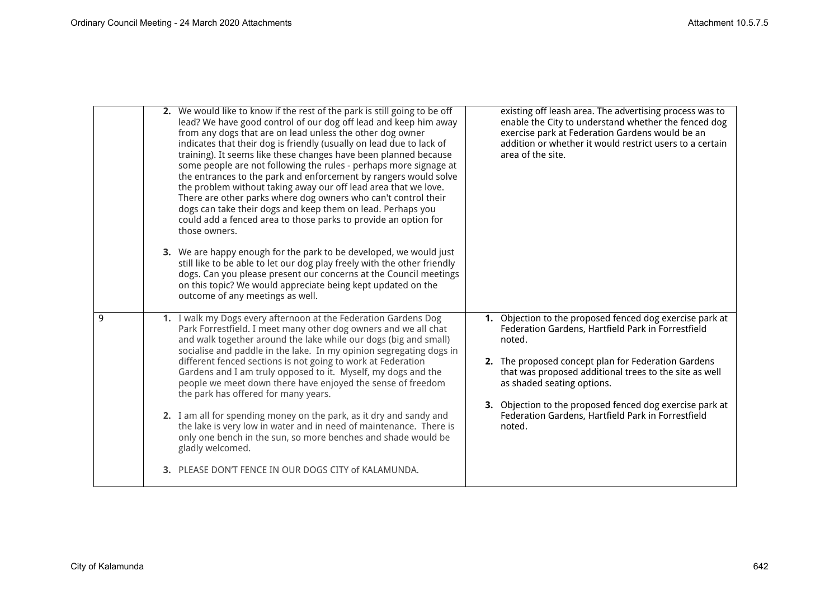|   | 2. We would like to know if the rest of the park is still going to be off<br>lead? We have good control of our dog off lead and keep him away<br>from any dogs that are on lead unless the other dog owner<br>indicates that their dog is friendly (usually on lead due to lack of<br>training). It seems like these changes have been planned because<br>some people are not following the rules - perhaps more signage at<br>the entrances to the park and enforcement by rangers would solve<br>the problem without taking away our off lead area that we love.<br>There are other parks where dog owners who can't control their<br>dogs can take their dogs and keep them on lead. Perhaps you<br>could add a fenced area to those parks to provide an option for<br>those owners.<br>3. We are happy enough for the park to be developed, we would just | existing off leash area. The advertising process was to<br>enable the City to understand whether the fenced dog<br>exercise park at Federation Gardens would be an<br>addition or whether it would restrict users to a certain<br>area of the site.                                                                                 |
|---|---------------------------------------------------------------------------------------------------------------------------------------------------------------------------------------------------------------------------------------------------------------------------------------------------------------------------------------------------------------------------------------------------------------------------------------------------------------------------------------------------------------------------------------------------------------------------------------------------------------------------------------------------------------------------------------------------------------------------------------------------------------------------------------------------------------------------------------------------------------|-------------------------------------------------------------------------------------------------------------------------------------------------------------------------------------------------------------------------------------------------------------------------------------------------------------------------------------|
|   | still like to be able to let our dog play freely with the other friendly<br>dogs. Can you please present our concerns at the Council meetings<br>on this topic? We would appreciate being kept updated on the<br>outcome of any meetings as well.                                                                                                                                                                                                                                                                                                                                                                                                                                                                                                                                                                                                             |                                                                                                                                                                                                                                                                                                                                     |
| 9 | 1. I walk my Dogs every afternoon at the Federation Gardens Dog<br>Park Forrestfield. I meet many other dog owners and we all chat<br>and walk together around the lake while our dogs (big and small)<br>socialise and paddle in the lake. In my opinion segregating dogs in<br>different fenced sections is not going to work at Federation<br>Gardens and I am truly opposed to it. Myself, my dogs and the<br>people we meet down there have enjoyed the sense of freedom<br>the park has offered for many years.                                                                                                                                                                                                                                                                                                                                         | 1. Objection to the proposed fenced dog exercise park at<br>Federation Gardens, Hartfield Park in Forrestfield<br>noted.<br>2. The proposed concept plan for Federation Gardens<br>that was proposed additional trees to the site as well<br>as shaded seating options.<br>3. Objection to the proposed fenced dog exercise park at |
|   | 2. I am all for spending money on the park, as it dry and sandy and<br>the lake is very low in water and in need of maintenance. There is<br>only one bench in the sun, so more benches and shade would be<br>gladly welcomed.                                                                                                                                                                                                                                                                                                                                                                                                                                                                                                                                                                                                                                | Federation Gardens, Hartfield Park in Forrestfield<br>noted.                                                                                                                                                                                                                                                                        |
|   | 3. PLEASE DON'T FENCE IN OUR DOGS CITY of KALAMUNDA.                                                                                                                                                                                                                                                                                                                                                                                                                                                                                                                                                                                                                                                                                                                                                                                                          |                                                                                                                                                                                                                                                                                                                                     |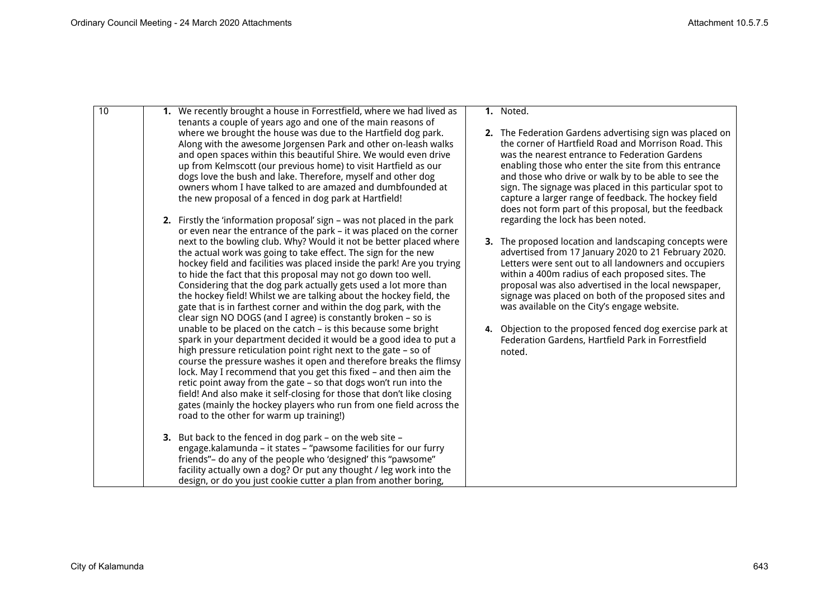| 10 | 1. We recently brought a house in Forrestfield, where we had lived as<br>tenants a couple of years ago and one of the main reasons of                                                                                                                                                                                                                                                                                                                                                                                                                                                                                                                                                                                                                                                                                                                                                                                                                                                                                                                                                                                                                                                | 1. Noted.                                                                                                                                                                                                                                                                                                                                                                                                                                                                                                              |
|----|--------------------------------------------------------------------------------------------------------------------------------------------------------------------------------------------------------------------------------------------------------------------------------------------------------------------------------------------------------------------------------------------------------------------------------------------------------------------------------------------------------------------------------------------------------------------------------------------------------------------------------------------------------------------------------------------------------------------------------------------------------------------------------------------------------------------------------------------------------------------------------------------------------------------------------------------------------------------------------------------------------------------------------------------------------------------------------------------------------------------------------------------------------------------------------------|------------------------------------------------------------------------------------------------------------------------------------------------------------------------------------------------------------------------------------------------------------------------------------------------------------------------------------------------------------------------------------------------------------------------------------------------------------------------------------------------------------------------|
|    | where we brought the house was due to the Hartfield dog park.<br>Along with the awesome Jorgensen Park and other on-leash walks<br>and open spaces within this beautiful Shire. We would even drive<br>up from Kelmscott (our previous home) to visit Hartfield as our<br>dogs love the bush and lake. Therefore, myself and other dog<br>owners whom I have talked to are amazed and dumbfounded at<br>the new proposal of a fenced in dog park at Hartfield!                                                                                                                                                                                                                                                                                                                                                                                                                                                                                                                                                                                                                                                                                                                       | 2. The Federation Gardens advertising sign was placed on<br>the corner of Hartfield Road and Morrison Road. This<br>was the nearest entrance to Federation Gardens<br>enabling those who enter the site from this entrance<br>and those who drive or walk by to be able to see the<br>sign. The signage was placed in this particular spot to<br>capture a larger range of feedback. The hockey field<br>does not form part of this proposal, but the feedback                                                         |
|    | 2. Firstly the 'information proposal' sign - was not placed in the park<br>or even near the entrance of the park - it was placed on the corner                                                                                                                                                                                                                                                                                                                                                                                                                                                                                                                                                                                                                                                                                                                                                                                                                                                                                                                                                                                                                                       | regarding the lock has been noted.                                                                                                                                                                                                                                                                                                                                                                                                                                                                                     |
|    | next to the bowling club. Why? Would it not be better placed where<br>the actual work was going to take effect. The sign for the new<br>hockey field and facilities was placed inside the park! Are you trying<br>to hide the fact that this proposal may not go down too well.<br>Considering that the dog park actually gets used a lot more than<br>the hockey field! Whilst we are talking about the hockey field, the<br>gate that is in farthest corner and within the dog park, with the<br>clear sign NO DOGS (and I agree) is constantly broken - so is<br>unable to be placed on the catch - is this because some bright<br>spark in your department decided it would be a good idea to put a<br>high pressure reticulation point right next to the gate - so of<br>course the pressure washes it open and therefore breaks the flimsy<br>lock. May I recommend that you get this fixed - and then aim the<br>retic point away from the gate - so that dogs won't run into the<br>field! And also make it self-closing for those that don't like closing<br>gates (mainly the hockey players who run from one field across the<br>road to the other for warm up training!) | 3. The proposed location and landscaping concepts were<br>advertised from 17 January 2020 to 21 February 2020.<br>Letters were sent out to all landowners and occupiers<br>within a 400m radius of each proposed sites. The<br>proposal was also advertised in the local newspaper,<br>signage was placed on both of the proposed sites and<br>was available on the City's engage website.<br>4. Objection to the proposed fenced dog exercise park at<br>Federation Gardens, Hartfield Park in Forrestfield<br>noted. |
|    | 3. But back to the fenced in dog park - on the web site -                                                                                                                                                                                                                                                                                                                                                                                                                                                                                                                                                                                                                                                                                                                                                                                                                                                                                                                                                                                                                                                                                                                            |                                                                                                                                                                                                                                                                                                                                                                                                                                                                                                                        |
|    | engage.kalamunda - it states - "pawsome facilities for our furry                                                                                                                                                                                                                                                                                                                                                                                                                                                                                                                                                                                                                                                                                                                                                                                                                                                                                                                                                                                                                                                                                                                     |                                                                                                                                                                                                                                                                                                                                                                                                                                                                                                                        |
|    | friends"- do any of the people who 'designed' this "pawsome"<br>facility actually own a dog? Or put any thought / leg work into the                                                                                                                                                                                                                                                                                                                                                                                                                                                                                                                                                                                                                                                                                                                                                                                                                                                                                                                                                                                                                                                  |                                                                                                                                                                                                                                                                                                                                                                                                                                                                                                                        |
|    | design, or do you just cookie cutter a plan from another boring,                                                                                                                                                                                                                                                                                                                                                                                                                                                                                                                                                                                                                                                                                                                                                                                                                                                                                                                                                                                                                                                                                                                     |                                                                                                                                                                                                                                                                                                                                                                                                                                                                                                                        |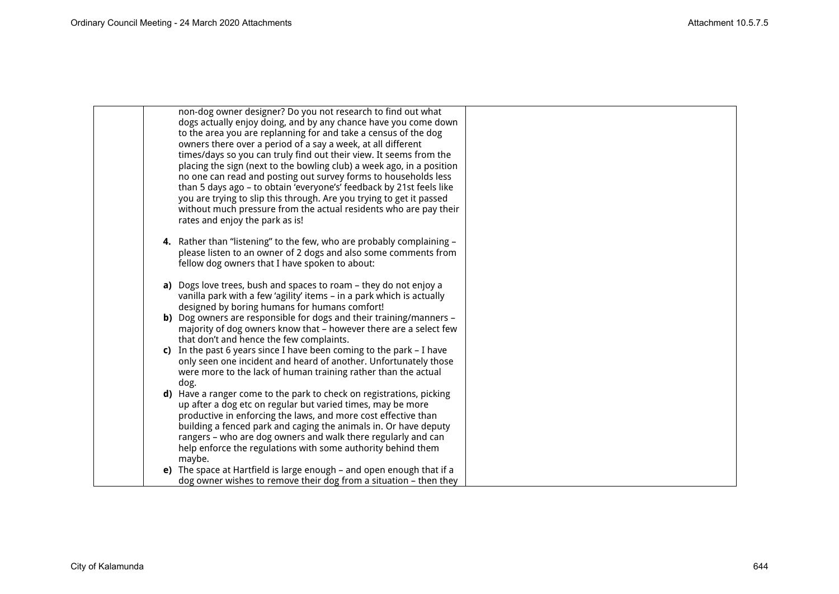| non-dog owner designer? Do you not research to find out what<br>dogs actually enjoy doing, and by any chance have you come down<br>to the area you are replanning for and take a census of the dog<br>owners there over a period of a say a week, at all different<br>times/days so you can truly find out their view. It seems from the<br>placing the sign (next to the bowling club) a week ago, in a position<br>no one can read and posting out survey forms to households less<br>than 5 days ago - to obtain 'everyone's' feedback by 21st feels like |  |
|--------------------------------------------------------------------------------------------------------------------------------------------------------------------------------------------------------------------------------------------------------------------------------------------------------------------------------------------------------------------------------------------------------------------------------------------------------------------------------------------------------------------------------------------------------------|--|
| you are trying to slip this through. Are you trying to get it passed<br>without much pressure from the actual residents who are pay their<br>rates and enjoy the park as is!                                                                                                                                                                                                                                                                                                                                                                                 |  |
| 4. Rather than "listening" to the few, who are probably complaining -<br>please listen to an owner of 2 dogs and also some comments from<br>fellow dog owners that I have spoken to about:                                                                                                                                                                                                                                                                                                                                                                   |  |
| a) Dogs love trees, bush and spaces to roam – they do not enjoy a<br>vanilla park with a few 'agility' items - in a park which is actually<br>designed by boring humans for humans comfort!                                                                                                                                                                                                                                                                                                                                                                  |  |
| b) Dog owners are responsible for dogs and their training/manners -<br>majority of dog owners know that - however there are a select few<br>that don't and hence the few complaints.                                                                                                                                                                                                                                                                                                                                                                         |  |
| c) In the past 6 years since I have been coming to the park $-$ I have<br>only seen one incident and heard of another. Unfortunately those<br>were more to the lack of human training rather than the actual<br>dog.                                                                                                                                                                                                                                                                                                                                         |  |
| d) Have a ranger come to the park to check on registrations, picking<br>up after a dog etc on regular but varied times, may be more<br>productive in enforcing the laws, and more cost effective than<br>building a fenced park and caging the animals in. Or have deputy<br>rangers - who are dog owners and walk there regularly and can<br>help enforce the regulations with some authority behind them<br>maybe.                                                                                                                                         |  |
| e) The space at Hartfield is large enough – and open enough that if a<br>dog owner wishes to remove their dog from a situation - then they                                                                                                                                                                                                                                                                                                                                                                                                                   |  |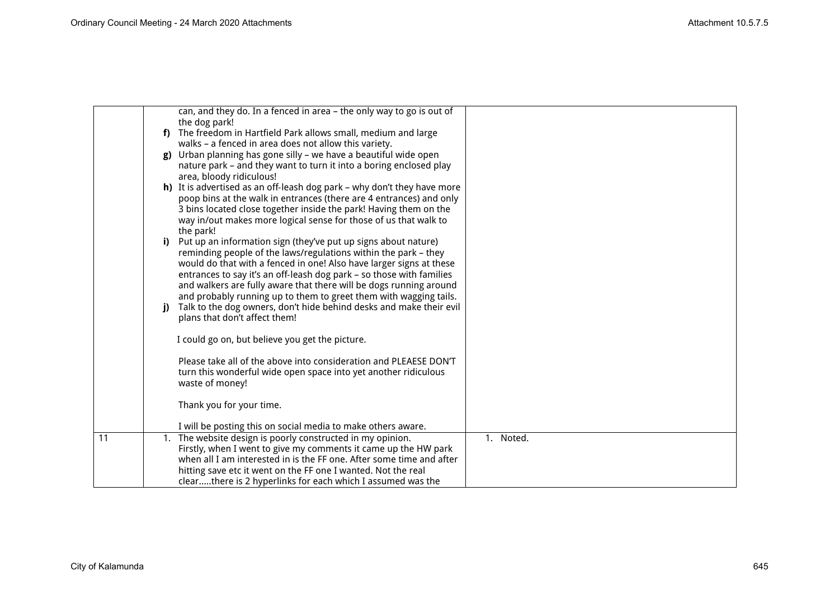|    |     | can, and they do. In a fenced in area - the only way to go is out of                                                                     |           |
|----|-----|------------------------------------------------------------------------------------------------------------------------------------------|-----------|
|    |     | the dog park!                                                                                                                            |           |
|    |     | f) The freedom in Hartfield Park allows small, medium and large                                                                          |           |
|    |     | walks - a fenced in area does not allow this variety.                                                                                    |           |
|    | g)  | Urban planning has gone silly - we have a beautiful wide open                                                                            |           |
|    |     | nature park - and they want to turn it into a boring enclosed play                                                                       |           |
|    |     | area, bloody ridiculous!                                                                                                                 |           |
|    |     | h) It is advertised as an off-leash dog park - why don't they have more                                                                  |           |
|    |     | poop bins at the walk in entrances (there are 4 entrances) and only<br>3 bins located close together inside the park! Having them on the |           |
|    |     | way in/out makes more logical sense for those of us that walk to                                                                         |           |
|    |     | the park!                                                                                                                                |           |
|    | i). | Put up an information sign (they've put up signs about nature)                                                                           |           |
|    |     | reminding people of the laws/regulations within the park - they                                                                          |           |
|    |     | would do that with a fenced in one! Also have larger signs at these                                                                      |           |
|    |     | entrances to say it's an off-leash dog park - so those with families                                                                     |           |
|    |     | and walkers are fully aware that there will be dogs running around                                                                       |           |
|    |     | and probably running up to them to greet them with wagging tails.                                                                        |           |
|    | i)  | Talk to the dog owners, don't hide behind desks and make their evil                                                                      |           |
|    |     | plans that don't affect them!                                                                                                            |           |
|    |     | I could go on, but believe you get the picture.                                                                                          |           |
|    |     |                                                                                                                                          |           |
|    |     | Please take all of the above into consideration and PLEAESE DON'T                                                                        |           |
|    |     | turn this wonderful wide open space into yet another ridiculous                                                                          |           |
|    |     | waste of money!                                                                                                                          |           |
|    |     |                                                                                                                                          |           |
|    |     | Thank you for your time.                                                                                                                 |           |
|    |     | I will be posting this on social media to make others aware.                                                                             |           |
| 11 |     | 1. The website design is poorly constructed in my opinion.                                                                               | 1. Noted. |
|    |     | Firstly, when I went to give my comments it came up the HW park                                                                          |           |
|    |     | when all I am interested in is the FF one. After some time and after                                                                     |           |
|    |     | hitting save etc it went on the FF one I wanted. Not the real                                                                            |           |
|    |     | clearthere is 2 hyperlinks for each which I assumed was the                                                                              |           |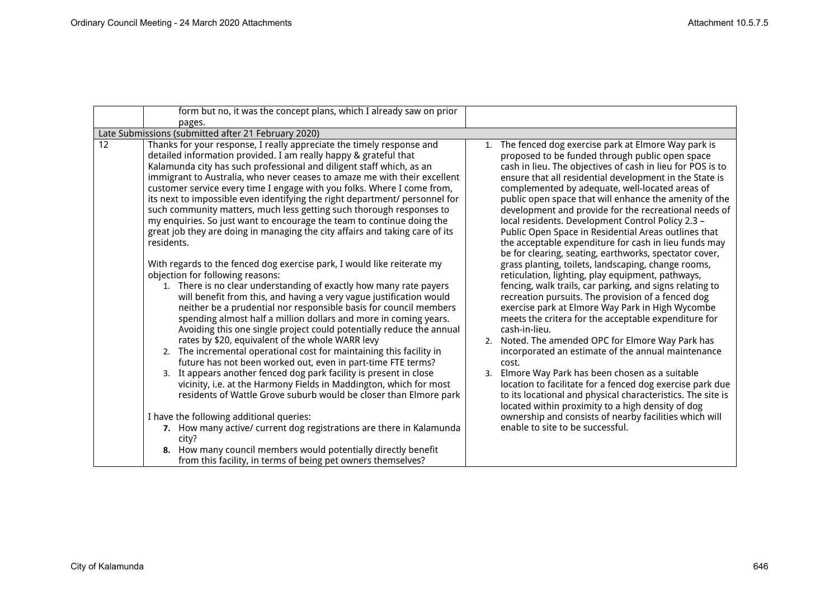| form but no, it was the concept plans, which I already saw on prior                                                                                                                                                                                                                                                                                                                                                                                                                                                                                                                                                                                                                                                                                                                                                                                                                                                                                                                                                                                                                                                                                                                                                                                                                                                                                                                                                                                                                                                                                                                                                                                                                                                                                                                                                                                                     |                                                                                                                                                                                                                                                                                                                                                                                                                                                                                                                                                                                                                                                                                                                                                                                                                                                                                                                                                                                                                                                                                                                                                                                                                                                                                                                                                                                                                                                                    |
|-------------------------------------------------------------------------------------------------------------------------------------------------------------------------------------------------------------------------------------------------------------------------------------------------------------------------------------------------------------------------------------------------------------------------------------------------------------------------------------------------------------------------------------------------------------------------------------------------------------------------------------------------------------------------------------------------------------------------------------------------------------------------------------------------------------------------------------------------------------------------------------------------------------------------------------------------------------------------------------------------------------------------------------------------------------------------------------------------------------------------------------------------------------------------------------------------------------------------------------------------------------------------------------------------------------------------------------------------------------------------------------------------------------------------------------------------------------------------------------------------------------------------------------------------------------------------------------------------------------------------------------------------------------------------------------------------------------------------------------------------------------------------------------------------------------------------------------------------------------------------|--------------------------------------------------------------------------------------------------------------------------------------------------------------------------------------------------------------------------------------------------------------------------------------------------------------------------------------------------------------------------------------------------------------------------------------------------------------------------------------------------------------------------------------------------------------------------------------------------------------------------------------------------------------------------------------------------------------------------------------------------------------------------------------------------------------------------------------------------------------------------------------------------------------------------------------------------------------------------------------------------------------------------------------------------------------------------------------------------------------------------------------------------------------------------------------------------------------------------------------------------------------------------------------------------------------------------------------------------------------------------------------------------------------------------------------------------------------------|
| pages.                                                                                                                                                                                                                                                                                                                                                                                                                                                                                                                                                                                                                                                                                                                                                                                                                                                                                                                                                                                                                                                                                                                                                                                                                                                                                                                                                                                                                                                                                                                                                                                                                                                                                                                                                                                                                                                                  |                                                                                                                                                                                                                                                                                                                                                                                                                                                                                                                                                                                                                                                                                                                                                                                                                                                                                                                                                                                                                                                                                                                                                                                                                                                                                                                                                                                                                                                                    |
| Late Submissions (submitted after 21 February 2020)                                                                                                                                                                                                                                                                                                                                                                                                                                                                                                                                                                                                                                                                                                                                                                                                                                                                                                                                                                                                                                                                                                                                                                                                                                                                                                                                                                                                                                                                                                                                                                                                                                                                                                                                                                                                                     |                                                                                                                                                                                                                                                                                                                                                                                                                                                                                                                                                                                                                                                                                                                                                                                                                                                                                                                                                                                                                                                                                                                                                                                                                                                                                                                                                                                                                                                                    |
| Thanks for your response, I really appreciate the timely response and<br>12<br>detailed information provided. I am really happy & grateful that<br>Kalamunda city has such professional and diligent staff which, as an<br>immigrant to Australia, who never ceases to amaze me with their excellent<br>customer service every time I engage with you folks. Where I come from,<br>its next to impossible even identifying the right department/ personnel for<br>such community matters, much less getting such thorough responses to<br>my enquiries. So just want to encourage the team to continue doing the<br>great job they are doing in managing the city affairs and taking care of its<br>residents.<br>With regards to the fenced dog exercise park, I would like reiterate my<br>objection for following reasons:<br>1. There is no clear understanding of exactly how many rate payers<br>will benefit from this, and having a very vague justification would<br>neither be a prudential nor responsible basis for council members<br>spending almost half a million dollars and more in coming years.<br>Avoiding this one single project could potentially reduce the annual<br>rates by \$20, equivalent of the whole WARR levy<br>2. The incremental operational cost for maintaining this facility in<br>future has not been worked out, even in part-time FTE terms?<br>3. It appears another fenced dog park facility is present in close<br>vicinity, i.e. at the Harmony Fields in Maddington, which for most<br>residents of Wattle Grove suburb would be closer than Elmore park<br>I have the following additional queries:<br>7. How many active/ current dog registrations are there in Kalamunda<br>city?<br>8. How many council members would potentially directly benefit<br>from this facility, in terms of being pet owners themselves? | The fenced dog exercise park at Elmore Way park is<br>1.<br>proposed to be funded through public open space<br>cash in lieu. The objectives of cash in lieu for POS is to<br>ensure that all residential development in the State is<br>complemented by adequate, well-located areas of<br>public open space that will enhance the amenity of the<br>development and provide for the recreational needs of<br>local residents. Development Control Policy 2.3 -<br>Public Open Space in Residential Areas outlines that<br>the acceptable expenditure for cash in lieu funds may<br>be for clearing, seating, earthworks, spectator cover,<br>grass planting, toilets, landscaping, change rooms,<br>reticulation, lighting, play equipment, pathways,<br>fencing, walk trails, car parking, and signs relating to<br>recreation pursuits. The provision of a fenced dog<br>exercise park at Elmore Way Park in High Wycombe<br>meets the critera for the acceptable expenditure for<br>cash-in-lieu.<br>Noted. The amended OPC for Elmore Way Park has<br>2.<br>incorporated an estimate of the annual maintenance<br>cost.<br>Elmore Way Park has been chosen as a suitable<br>3.<br>location to facilitate for a fenced dog exercise park due<br>to its locational and physical characteristics. The site is<br>located within proximity to a high density of dog<br>ownership and consists of nearby facilities which will<br>enable to site to be successful. |